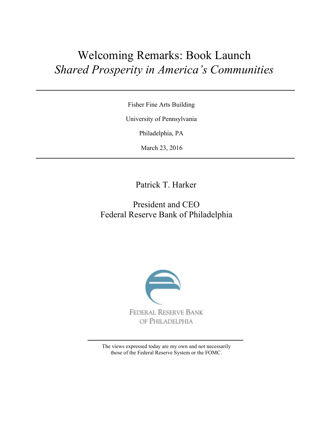## Welcoming Remarks: Book Launch *Shared Prosperity in America's Communities*

Fisher Fine Arts Building

University of Pennsylvania

Philadelphia, PA

March 23, 2016

Patrick T. Harker

## President and CEO Federal Reserve Bank of Philadelphia



The views expressed today are my own and not necessarily those of the Federal Reserve System or the FOMC.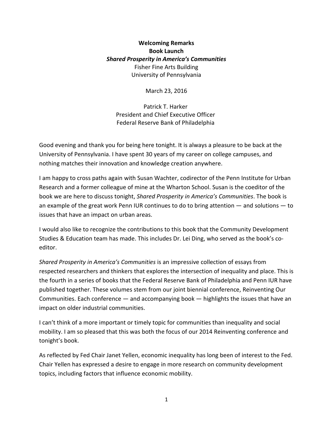## **Welcoming Remarks Book Launch** *Shared Prosperity in America's Communities*  Fisher Fine Arts Building University of Pennsylvania

March 23, 2016

Patrick T. Harker President and Chief Executive Officer Federal Reserve Bank of Philadelphia

Good evening and thank you for being here tonight. It is always a pleasure to be back at the University of Pennsylvania. I have spent 30 years of my career on college campuses, and nothing matches their innovation and knowledge creation anywhere.

I am happy to cross paths again with Susan Wachter, codirector of the Penn Institute for Urban Research and a former colleague of mine at the Wharton School. Susan is the coeditor of the book we are here to discuss tonight, *Shared Prosperity in America's Communities*. The book is an example of the great work Penn IUR continues to do to bring attention ― and solutions ― to issues that have an impact on urban areas.

I would also like to recognize the contributions to this book that the Community Development Studies & Education team has made. This includes Dr. Lei Ding, who served as the book's coeditor.

*Shared Prosperity in America's Communities* is an impressive collection of essays from respected researchers and thinkers that explores the intersection of inequality and place. This is the fourth in a series of books that the Federal Reserve Bank of Philadelphia and Penn IUR have published together. These volumes stem from our joint biennial conference, Reinventing Our Communities. Each conference ― and accompanying book ― highlights the issues that have an impact on older industrial communities.

I can't think of a more important or timely topic for communities than inequality and social mobility. I am so pleased that this was both the focus of our 2014 Reinventing conference and tonight's book.

As reflected by Fed Chair Janet Yellen, economic inequality has long been of interest to the Fed. Chair Yellen has expressed a desire to engage in more research on community development topics, including factors that influence economic mobility.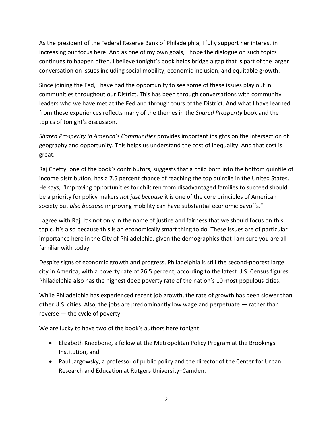As the president of the Federal Reserve Bank of Philadelphia, I fully support her interest in increasing our focus here. And as one of my own goals, I hope the dialogue on such topics continues to happen often. I believe tonight's book helps bridge a gap that is part of the larger conversation on issues including social mobility, economic inclusion, and equitable growth.

Since joining the Fed, I have had the opportunity to see some of these issues play out in communities throughout our District. This has been through conversations with community leaders who we have met at the Fed and through tours of the District. And what I have learned from these experiences reflects many of the themes in the *Shared Prosperity* book and the topics of tonight's discussion.

*Shared Prosperity in America's Communities* provides important insights on the intersection of geography and opportunity. This helps us understand the cost of inequality. And that cost is great.

Raj Chetty, one of the book's contributors, suggests that a child born into the bottom quintile of income distribution, has a 7.5 percent chance of reaching the top quintile in the United States. He says, "Improving opportunities for children from disadvantaged families to succeed should be a priority for policy makers *not just because* it is one of the core principles of American society but *also because* improving mobility can have substantial economic payoffs."

I agree with Raj. It's not only in the name of justice and fairness that we should focus on this topic. It's also because this is an economically smart thing to do. These issues are of particular importance here in the City of Philadelphia, given the demographics that I am sure you are all familiar with today.

Despite signs of economic growth and progress, Philadelphia is still the second-poorest large city in America, with a poverty rate of 26.5 percent, according to the latest U.S. Census figures. Philadelphia also has the highest deep poverty rate of the nation's 10 most populous cities.

While Philadelphia has experienced recent job growth, the rate of growth has been slower than other U.S. cities. Also, the jobs are predominantly low wage and perpetuate ― rather than reverse ― the cycle of poverty.

We are lucky to have two of the book's authors here tonight:

- Elizabeth Kneebone, a fellow at the Metropolitan Policy Program at the Brookings Institution, and
- Paul Jargowsky, a professor of public policy and the director of the Center for Urban Research and Education at Rutgers University–Camden.